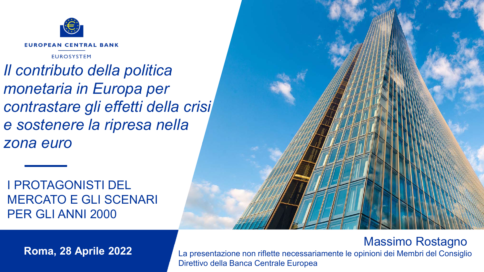

**EUROPEAN CENTRAL BANK** 

**EUROSYSTEM** 

*Il contributo della politica monetaria in Europa per contrastare gli effetti della crisi e sostenere la ripresa nella zona euro*

I PROTAGONISTI DEL MERCATO E GLI SCENARI PER GLI ANNI 2000



• **Roma, 28 Aprile <sup>2022</sup>** Massimo Rostagno La presentazione non riflette necessariamente le opinioni dei Membri del Consiglio Direttivo della Banca Centrale Europea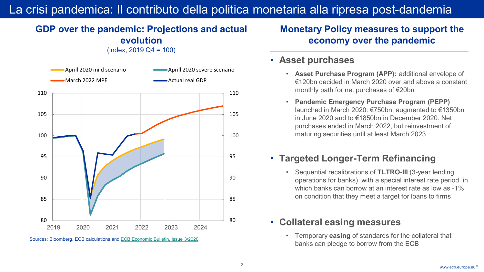## La crisi pandemica: Il contributo della politica monetaria alla ripresa post-dandemia

#### **GDP over the pandemic: Projections and actual evolution**  (index, 2019 Q4 = 100)

80 85 90 95 100 105 110 80 85 90 95 100 105 110 2019 2020 2021 2022 2023 2024 Aprill 2020 mild scenario **Aprill 2020** severe scenario March 2022 MPE **Actual real GDP** Actual real GDP

Sources: Bloomberg, ECB calculations and [ECB Economic Bulletin, Issue 3/2020](https://www.ecb.europa.eu/pub/economic-bulletin/html/eb202003.en.html).

### **Monetary Policy measures to support the economy over the pandemic**

#### • **Asset purchases**

- **Asset Purchase Program (APP):** additional envelope of €120bn decided in March 2020 over and above a constant monthly path for net purchases of €20bn
- **Pandemic Emergency Purchase Program (PEPP)**  launched in March 2020: €750bn, augmented to €1350bn in June 2020 and to €1850bn in December 2020. Net purchases ended in March 2022, but reinvestment of maturing securities until at least March 2023

## • **Targeted Longer-Term Refinancing**

• Sequential recalibrations of **TLTRO-III** (3-year lending operations for banks), with a special interest rate period in which banks can borrow at an interest rate as low as -1% on condition that they meet a target for loans to firms

#### • **Collateral easing measures**

• Temporary **easing** of standards for the collateral that banks can pledge to borrow from the ECB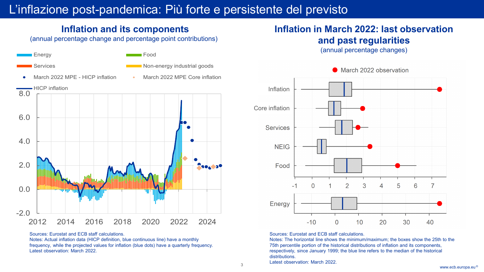# L'inflazione post-pandemica: Più forte e persistente del previsto

### **Inflation and its components**

(annual percentage change and percentage point contributions)



Sources: Eurostat and ECB staff calculations.

Notes: Actual inflation data (HICP definition, blue continuous line) have a monthly frequency, while the projected values for inflation (blue dots) have a quarterly frequency. Latest observation: March 2022.

## **Inflation in March 2022: last observation and past regularities**

(annual percentage changes)



March 2022 observation

Sources: Eurostat and ECB staff calculations.

Notes: The horizontal line shows the minimum/maximum; the boxes show the 25th to the 75th percentile portion of the historical distributions of inflation and its components, respectively, since January 1999; the blue line refers to the median of the historical distributions. Latest observation: March 2022.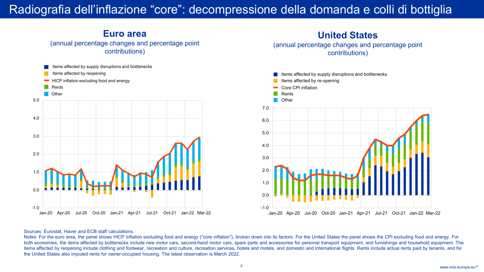# Radiografia dell'inflazione "core": decompressione della domanda e colli di bottiglia



**Euro area**

#### **United States**

(annual percentage changes and percentage point contributions)



#### Sources: Eurostat, Haver and ECB staff calculations.

Notes: For the euro area, the panel shows HICP inflation excluding food and energy ("core inflation"), broken down into its factors. For the United States the panel shows the CPI excluding food and energy. For both economies, the items affected by bottlenecks include new motor cars, second-hand motor cars, spare parts and accessories for personal transport equipment, and furnishings and household equipment. The items affected by reopening include clothing and footwear, recreation and culture, recreation services, hotels and motels, and domestic and international flights. Rents include actual rents paid by tenants, and for the United States also imputed rents for owner-occupied housing. The latest observation is March 2022.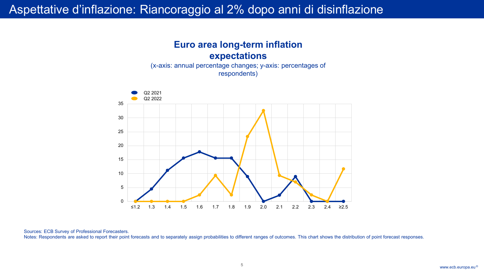



Sources: ECB Survey of Professional Forecasters.

Notes: Respondents are asked to report their point forecasts and to separately assign probabilities to different ranges of outcomes. This chart shows the distribution of point forecast responses.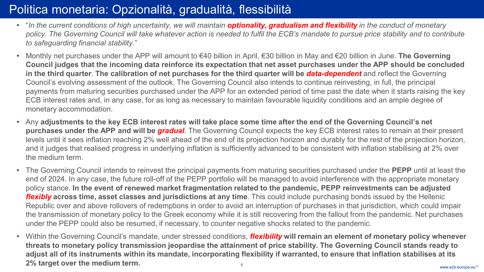# Politica monetaria: Opzionalità, gradualità, flessibilità

- "In the current conditions of high uncertainty, we will maintain **optionality, gradualism and flexibility** in the conduct of monetary *policy. The Governing Council will take whatever action is needed to fulfil the ECB's mandate to pursue price stability and to contribute to safeguarding financial stability*."
- Monthly net purchases under the APP will amount to €40 billion in April, €30 billion in May and €20 billion in June. **The Governing Council judges that the incoming data reinforce its expectation that net asset purchases under the APP should be concluded in the third quarter**. **The calibration of net purchases for the third quarter will be** *data-dependent* and reflect the Governing Council's evolving assessment of the outlook. The Governing Council also intends to continue reinvesting, in full, the principal payments from maturing securities purchased under the APP for an extended period of time past the date when it starts raising the key ECB interest rates and, in any case, for as long as necessary to maintain favourable liquidity conditions and an ample degree of monetary accommodation.
- Any **adjustments to the key ECB interest rates will take place some time after the end of the Governing Council's net purchases under the APP and will be** *gradual*. The Governing Council expects the key ECB interest rates to remain at their present levels until it sees inflation reaching 2% well ahead of the end of its projection horizon and durably for the rest of the projection horizon, and it judges that realised progress in underlying inflation is sufficiently advanced to be consistent with inflation stabilising at 2% over the medium term.
- The Governing Council intends to reinvest the principal payments from maturing securities purchased under the **PEPP** until at least the end of 2024. In any case, the future roll-off of the PEPP portfolio will be managed to avoid interference with the appropriate monetary policy stance. **In the event of renewed market fragmentation related to the pandemic, PEPP reinvestments can be adjusted**  *flexibly* **across time, asset classes and jurisdictions at any time**. This could include purchasing bonds issued by the Hellenic Republic over and above rollovers of redemptions in order to avoid an interruption of purchases in that jurisdiction, which could impair the transmission of monetary policy to the Greek economy while it is still recovering from the fallout from the pandemic. Net purchases under the PEPP could also be resumed, if necessary, to counter negative shocks related to the pandemic.
- www.ecb.europa.eu <sup>6</sup> © • Within the Governing Council's mandate, under stressed conditions, *flexibility* **will remain an element of monetary policy whenever threats to monetary policy transmission jeopardise the attainment of price stability. The Governing Council stands ready to adjust all of its instruments within its mandate, incorporating flexibility if warranted, to ensure that inflation stabilises at its 2% target over the medium term.**